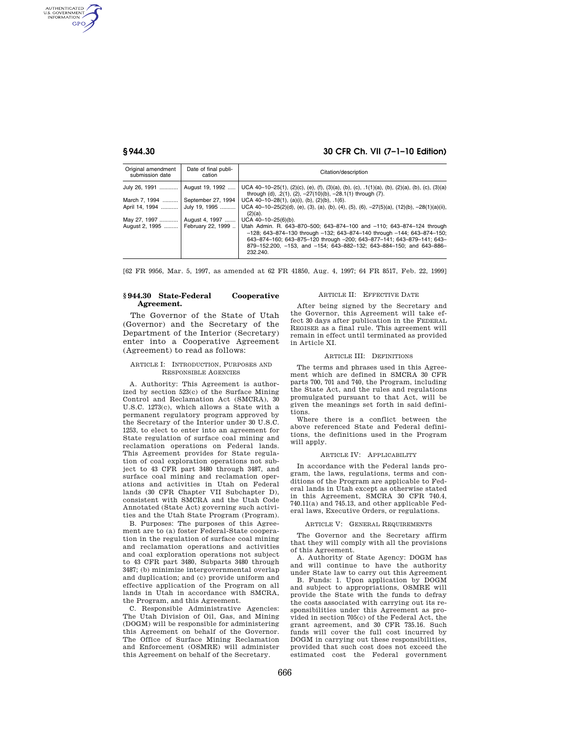AUTHENTICATED<br>U.S. GOVERNMENT<br>INFORMATION **GPO** 

# **§ 944.30 30 CFR Ch. VII (7–1–10 Edition)**

| Original amendment<br>submission date | Date of final publi-<br>cation | Citation/description                                                                                                                                                                                                                                                                                           |
|---------------------------------------|--------------------------------|----------------------------------------------------------------------------------------------------------------------------------------------------------------------------------------------------------------------------------------------------------------------------------------------------------------|
| July 26, 1991                         | August 19, 1992                | UCA 40-10-25(1), (2)(c), (e), (f), (3)(a), (b), (c), $.1(1)(a)$ , (b), (2)(a), (b), (c), (3)(a)<br>through (d), $.2(1)$ , (2), $-27(10)(b)$ , $-28.1(1)$ through (7).                                                                                                                                          |
| March 7, 1994                         | September 27, 1994             | UCA $40-10-28(1)$ , (a)(i), (b), (2)(b), .1(6).                                                                                                                                                                                                                                                                |
| April 14, 1994                        | July 19, 1995                  | UCA 40-10-25(2)(d), (e), (3), (a), (b), (4), (5), (6), -27(5)(a), (12)(b), -28(1)(a)(ii),<br>$(2)(a)$ .                                                                                                                                                                                                        |
| May 27, 1997                          | August 4, 1997                 | $UCA$ 40-10-25(6)(b).                                                                                                                                                                                                                                                                                          |
| August 2, 1995    February 22, 1999   |                                | Utah Admin. R. 643-870-500; 643-874-100 and -110; 643-874-124 through<br>$-128$ ; 643-874-130 through -132; 643-874-140 through -144; 643-874-150;<br>643-874-160; 643-875-120 through -200; 643-877-141; 643-879-141; 643-<br>879-152.200, -153, and -154; 643-882-132; 643-884-150; and 643-886-<br>232.240. |

[62 FR 9956, Mar. 5, 1997, as amended at 62 FR 41850, Aug. 4, 1997; 64 FR 8517, Feb. 22, 1999]

#### **§ 944.30 State-Federal Cooperative Agreement.**

The Governor of the State of Utah (Governor) and the Secretary of the Department of the Interior (Secretary) enter into a Cooperative Agreement (Agreement) to read as follows:

#### ARTICLE I: INTRODUCTION, PURPOSES AND RESPONSIBLE AGENCIES

A. Authority: This Agreement is authorized by section 523(c) of the Surface Mining Control and Reclamation Act (SMCRA), 30 U.S.C. 1273(c), which allows a State with a permanent regulatory program approved by the Secretary of the Interior under 30 U.S.C. 1253, to elect to enter into an agreement for State regulation of surface coal mining and reclamation operations on Federal lands. This Agreement provides for State regulation of coal exploration operations not subject to 43 CFR part 3480 through 3487, and surface coal mining and reclamation operations and activities in Utah on Federal lands (30 CFR Chapter VII Subchapter D), consistent with SMCRA and the Utah Code Annotated (State Act) governing such activities and the Utah State Program (Program).

B. Purposes: The purposes of this Agreement are to (a) foster Federal-State cooperation in the regulation of surface coal mining and reclamation operations and activities and coal exploration operations not subject to 43 CFR part 3480, Subparts 3480 through 3487; (b) minimize intergovernmental overlap and duplication; and (c) provide uniform and effective application of the Program on all lands in Utah in accordance with SMCRA, the Program, and this Agreement.

C. Responsible Administrative Agencies: The Utah Division of Oil, Gas, and Mining (DOGM) will be responsible for administering this Agreement on behalf of the Governor. The Office of Surface Mining Reclamation and Enforcement (OSMRE) will administer this Agreement on behalf of the Secretary.

#### ARTICLE II: EFFECTIVE DATE

After being signed by the Secretary and the Governor, this Agreement will take effect 30 days after publication in the FEDERAL REGISER as a final rule. This agreement will remain in effect until terminated as provided in Article XI.

#### ARTICLE III: DEFINITIONS

The terms and phrases used in this Agreement which are defined in SMCRA 30 CFR parts 700, 701 and 740, the Program, including the State Act, and the rules and regulations promulgated pursuant to that Act, will be given the meanings set forth in said definitions.

Where there is a conflict between the above referenced State and Federal definitions, the definitions used in the Program will apply.

### ARTICLE IV: APPLICABILITY

In accordance with the Federal lands program, the laws, regulations, terms and conditions of the Program are applicable to Federal lands in Utah except as otherwise stated in this Agreement, SMCRA 30 CFR 740.4, 740.11(a) and 745.13, and other applicable Federal laws, Executive Orders, or regulations.

#### ARTICLE V: GENERAL REQUIREMENTS

The Governor and the Secretary affirm that they will comply with all the provisions of this Agreement.

A. Authority of State Agency: DOGM has and will continue to have the authority under State law to carry out this Agreement

B. Funds: 1. Upon application by DOGM and subject to appropriations, OSMRE will provide the State with the funds to defray the costs associated with carrying out its responsibilities under this Agreement as provided in section 705(c) of the Federal Act, the grant agreement, and 30 CFR 735.16. Such funds will cover the full cost incurred by DOGM in carrying out these responsibilities, provided that such cost does not exceed the estimated cost the Federal government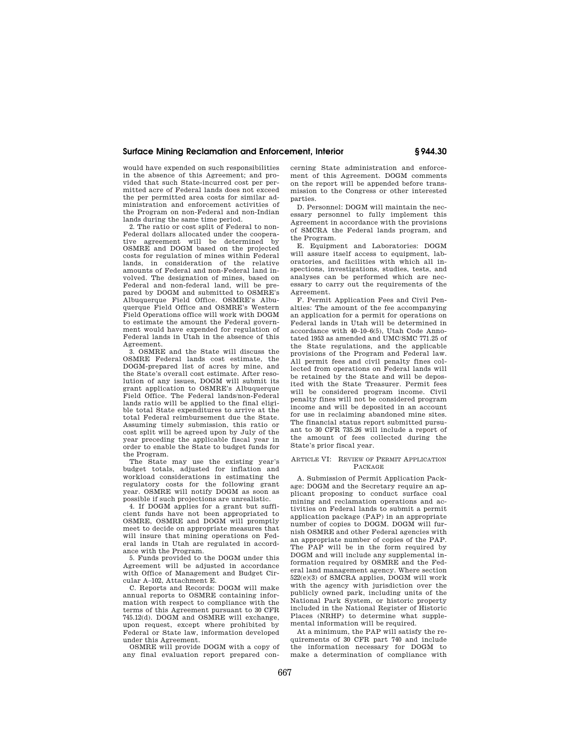## **Surface Mining Reclamation and Enforcement, Interior § 944.30**

would have expended on such responsibilities in the absence of this Agreement; and provided that such State-incurred cost per permitted acre of Federal lands does not exceed the per permitted area costs for similar administration and enforcement activities of the Program on non-Federal and non-Indian lands during the same time period.

2. The ratio or cost split of Federal to non-Federal dollars allocated under the cooperative agreement will be determined by OSMRE and DOGM based on the projected costs for regulation of mines within Federal lands, in consideration of the relative amounts of Federal and non-Federal land involved. The designation of mines, based on Federal and non-federal land, will be prepared by DOGM and submitted to OSMRE's Albuquerque Field Office. OSMRE's Albuquerque Field Office and OSMRE's Western Field Operations office will work with DOGM to estimate the amount the Federal government would have expended for regulation of Federal lands in Utah in the absence of this Agreement.

3. OSMRE and the State will discuss the OSMRE Federal lands cost estimate, the DOGM-prepared list of acres by mine, and the State's overall cost estimate. After resolution of any issues, DOGM will submit its grant application to OSMRE's Albuquerque Field Office. The Federal lands/non-Federal lands ratio will be applied to the final eligible total State expenditures to arrive at the total Federal reimbursement due the State. Assuming timely submission, this ratio or cost split will be agreed upon by July of the year preceding the applicable fiscal year in order to enable the State to budget funds for the Program.

The State may use the existing year's budget totals, adjusted for inflation and workload considerations in estimating the regulatory costs for the following grant year. OSMRE will notify DOGM as soon as possible if such projections are unrealistic.

4. If DOGM applies for a grant but sufficient funds have not been appropriated to OSMRE, OSMRE and DOGM will promptly meet to decide on appropriate measures that will insure that mining operations on Federal lands in Utah are regulated in accordance with the Program.

5. Funds provided to the DOGM under this Agreement will be adjusted in accordance with Office of Management and Budget Circular A–102, Attachment E.

C. Reports and Records: DOGM will make annual reports to OSMRE containing information with respect to compliance with the terms of this Agreement pursuant to 30 CFR 745.12(d). DOGM and OSMRE will exchange, upon request, except where prohibited by Federal or State law, information developed under this Agreement.

OSMRE will provide DOGM with a copy of any final evaluation report prepared concerning State administration and enforcement of this Agreement. DOGM comments on the report will be appended before transmission to the Congress or other interested parties.

D. Personnel: DOGM will maintain the necessary personnel to fully implement this Agreement in accordance with the provisions of SMCRA the Federal lands program, and the Program.

E. Equipment and Laboratories: DOGM will assure itself access to equipment, laboratories, and facilities with which all inspections, investigations, studies, tests, and analyses can be performed which are necessary to carry out the requirements of the Agreement.

F. Permit Application Fees and Civil Penalties: The amount of the fee accompanying an application for a permit for operations on Federal lands in Utah will be determined in accordance with 40–10–6(5), Utah Code Annotated 1953 as amended and UMC/SMC 771.25 of the State regulations, and the applicable provisions of the Program and Federal law. All permit fees and civil penalty fines collected from operations on Federal lands will be retained by the State and will be deposited with the State Treasurer. Permit fees will be considered program income. Civil penalty fines will not be considered program income and will be deposited in an account for use in reclaiming abandoned mine sites. The financial status report submitted pursuant to 30 CFR 735.26 will include a report of the amount of fees collected during the State's prior fiscal year.

#### ARTICLE VI: REVIEW OF PERMIT APPLICATION PACKAGE

A. Submission of Permit Application Package: DOGM and the Secretary require an applicant proposing to conduct surface coal mining and reclamation operations and activities on Federal lands to submit a permit application package (PAP) in an appropriate number of copies to DOGM. DOGM will furnish OSMRE and other Federal agencies with an appropriate number of copies of the PAP. The PAP will be in the form required by DOGM and will include any supplemental information required by OSMRE and the Federal land management agency. Where section  $522(e)(3)$  of SMCRA applies, DOGM will work with the agency with jurisdiction over the publicly owned park, including units of the National Park System, or historic property included in the National Register of Historic Places (NRHP) to determine what supplemental information will be required.

At a minimum, the PAP will satisfy the requirements of 30 CFR part 740 and include the information necessary for DOGM to make a determination of compliance with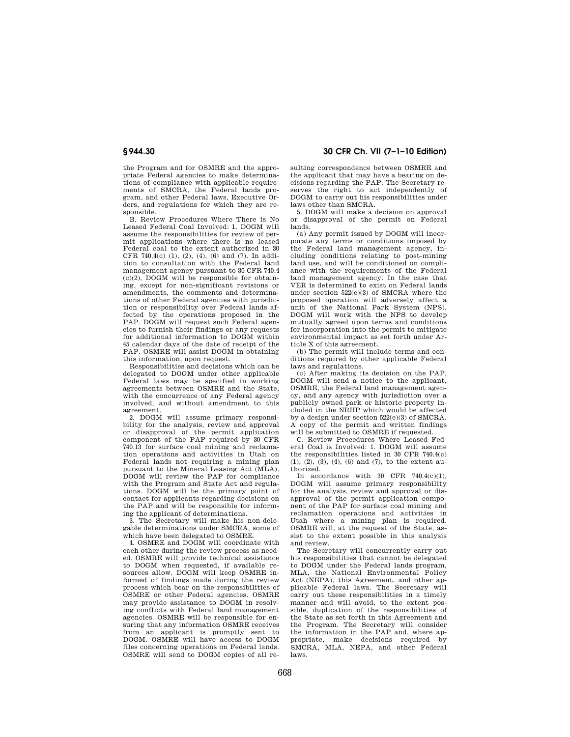the Program and for OSMRE and the appropriate Federal agencies to make determinations of compliance with applicable requirements of SMCRA, the Federal lands program, and other Federal laws, Executive Orders, and regulations for which they are responsible.

B. Review Procedures Where There is No Leased Federal Coal Involved: 1. DOGM will assume the responsibilities for review of permit applications where there is no leased Federal coal to the extent authorized in 30 CFR 740.4(c)  $(1)$ ,  $(2)$ ,  $(4)$ ,  $(6)$  and  $(7)$ . In addition to consultation with the Federal land management agency pursuant to 30 CFR 740.4  $(c)(2)$ , DOGM will be responsible for obtaining, except for non-significant revisions or amendments, the comments and determinations of other Federal agencies with jurisdiction or responsibility over Federal lands affected by the operations proposed in the PAP. DOGM will request such Federal agencies to furnish their findings or any requests for additional information to DOGM within 45 calendar days of the date of receipt of the PAP. OSMRE will assist DOGM in obtaining this information, upon request.

Responsibilities and decisions which can be delegated to DOGM under other applicable Federal laws may be specified in working agreements between OSMRE and the State, with the concurrence of any Federal agency involved, and without amendment to this agreement.

2. DOGM will assume primary responsibility for the analysis, review and approval or disapproval of the permit application component of the PAP required by 30 CFR 740.13 for surface coal mining and reclamation operations and activities in Utah on Federal lands not requiring a mining plan pursuant to the Mineral Leasing Act (MLA). DOGM will review the PAP for compliance with the Program and State Act and regulations. DOGM will be the primary point of contact for applicants regarding decisions on the PAP and will be responsible for informing the applicant of determinations.

3. The Secretary will make his non-delegable determinations under SMCRA, some of which have been delegated to OSMRE.

4. OSMRE and DOGM will coordinate with each other during the review process as needed. OSMRE will provide technical assistance to DOGM when requested, if available resources allow. DOGM will keep OSMRE informed of findings made during the review process which bear on the responsibilities of OSMRE or other Federal agencies. OSMRE may provide assistance to DOGM in resolving conflicts with Federal land management agencies. OSMRE will be responsible for ensuring that any information OSMRE receives from an applicant is promptly sent to DOGM. OSMRE will have access to DOGM files concerning operations on Federal lands. OSMRE will send to DOGM copies of all re-

**§ 944.30 30 CFR Ch. VII (7–1–10 Edition)** 

sulting correspondence between OSMRE and the applicant that may have a bearing on decisions regarding the PAP. The Secretary reserves the right to act independently of DOGM to carry out his responsibilities under laws other than SMCRA.

5. DOGM will make a decision on approval or disapproval of the permit on Federal lands.

(a) Any permit issued by DOGM will incorporate any terms or conditions imposed by the Federal land management agency, including conditions relating to post-mining land use, and will be conditioned on compliance with the requirements of the Federal land management agency. In the case that VER is determined to exist on Federal lands under section 522(e)(3) of SMCRA where the proposed operation will adversely affect a unit of the National Park System (NPS), DOGM will work with the NPS to develop mutually agreed upon terms and conditions for incorporation into the permit to mitigate environmental impact as set forth under Article X of this agreement.

(b) The permit will include terms and conditions required by other applicable Federal laws and regulations.

(c) After making its decision on the PAP, DOGM will send a notice to the applicant, OSMRE, the Federal land management agency, and any agency with jurisdiction over a publicly owned park or historic property included in the NRHP which would be affected by a design under section 522(e)(3) of SMCRA. A copy of the permit and written findings will be submitted to OSMRE if requested.

C. Review Procedures Where Leased Federal Coal is Involved: 1. DOGM will assume the responsibilities listed in 30 CFR 740.4(c) (1), (2), (3), (4), (6) and (7), to the extent authorized.

In accordance with 30 CFR 740.4(c)(1), DOGM will assume primary responsibility for the analysis, review and approval or disapproval of the permit application component of the PAP for surface coal mining and reclamation operations and activities in Utah where a mining plan is required. OSMRE will, at the request of the State, assist to the extent possible in this analysis and review.

The Secretary will concurrently carry out his responsibilities that cannot be delegated to DOGM under the Federal lands program, MLA, the National Environmental Policy Act (NEPA), this Agreement, and other applicable Federal laws. The Secretary will carry out these responsibilities in a timely manner and will avoid, to the extent possible, duplication of the responsibilities of the State as set forth in this Agreement and the Program. The Secretary will consider the information in the PAP and, where appropriate, make decisions required by SMCRA, MLA, NEPA, and other Federal laws.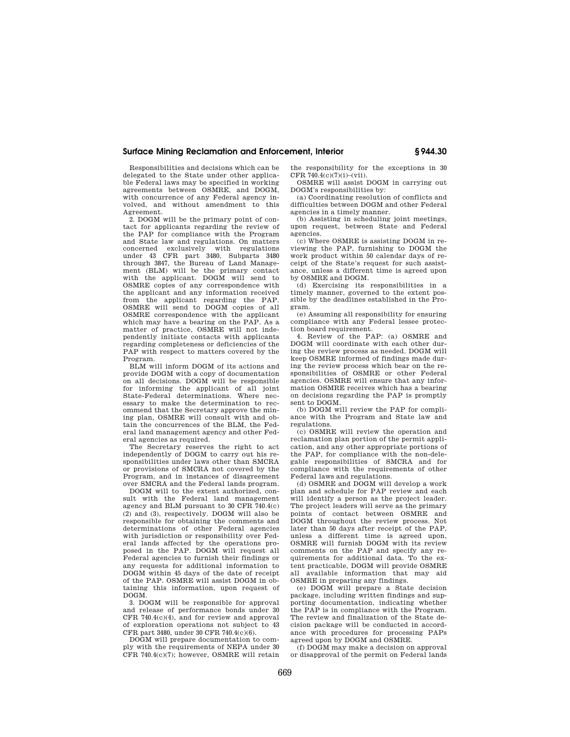## **Surface Mining Reclamation and Enforcement, Interior § 944.30**

Responsibilities and decisions which can be delegated to the State under other applicable Federal laws may be specified in working agreements between OSMRE, and DOGM, with concurrence of any Federal agency involved, and without amendment to this Agreement.

2. DOGM will be the primary point of contact for applicants regarding the review of the PAP for compliance with the Program and State law and regulations. On matters concerned exclusively with regulations under 43 CFR part 3480, Subparts 3480 through 3847, the Bureau of Land Management (BLM) will be the primary contact with the applicant. DOGM will send to OSMRE copies of any correspondence with the applicant and any information received from the applicant regarding the PAP. OSMRE will send to DOGM copies of all OSMRE correspondence with the applicant which may have a bearing on the PAP. As a matter of practice, OSMRE will not independently initiate contacts with applicants regarding completeness or deficiencies of the PAP with respect to matters covered by the Program.

BLM will inform DOGM of its actions and provide DOGM with a copy of documentation on all decisions. DOGM will be responsible for informing the applicant of all joint State-Federal determinations. Where necessary to make the determination to recommend that the Secretary approve the mining plan, OSMRE will consult with and obtain the concurrences of the BLM, the Federal land management agency and other Federal agencies as required.

The Secretary reserves the right to act independently of DOGM to carry out his responsibilities under laws other than SMCRA or provisions of SMCRA not covered by the Program, and in instances of disagreement over SMCRA and the Federal lands program.

DOGM will to the extent authorized, consult with the Federal land management agency and BLM pursuant to 30 CFR 740.4(c) (2) and (3), respectively. DOGM will also be responsible for obtaining the comments and determinations of other Federal agencies with jurisdiction or responsibility over Federal lands affected by the operations proposed in the PAP. DOGM will request all Federal agencies to furnish their findings or any requests for additional information to DOGM within 45 days of the date of receipt of the PAP. OSMRE will assist DOGM in obtaining this information, upon request of DOGM.

3. DOGM will be responsible for approval and release of performance bonds under 30 CFR  $740.4(c)(4)$ , and for review and approval of exploration operations not subject to 43 CFR part 3480, under 30 CFR 740.4(c)(6).

DOGM will prepare documentation to comply with the requirements of NEPA under 30 CFR 740.4(c)(7); however, OSMRE will retain the responsibility for the exceptions in 30 CFR 740.4(c)(7)(i)–(vii).

OSMRE will assist DOGM in carrying out DOGM's responsibilities by:

(a) Coordinating resolution of conflicts and difficulties between DOGM and other Federal agencies in a timely manner.

(b) Assisting in scheduling joint meetings, upon request, between State and Federal agencies.

(c) Where OSMRE is assisting DOGM in reviewing the PAP, furnishing to DOGM the work product within 50 calendar days of receipt of the State's request for such assistance, unless a different time is agreed upon by OSMRE and DOGM.

(d) Exercising its responsibilities in a timely manner, governed to the extent possible by the deadlines established in the Program.

(e) Assuming all responsibility for ensuring compliance with any Federal lessee protection board requirement.

4. Review of the PAP: (a) OSMRE and DOGM will coordinate with each other during the review process as needed. DOGM will keep OSMRE informed of findings made during the review process which bear on the responsibilities of OSMRE or other Federal agencies. OSMRE will ensure that any information OSMRE receives which has a bearing on decisions regarding the PAP is promptly sent to DOGM.

(b) DOGM will review the PAP for compliance with the Program and State law and regulations.

(c) OSMRE will review the operation and reclamation plan portion of the permit application, and any other appropriate portions of the PAP, for compliance with the non-delegable responsibilities of SMCRA and for compliance with the requirements of other Federal laws and regulations.

(d) OSMRE and DOGM will develop a work plan and schedule for PAP review and each will identify a person as the project leader. The project leaders will serve as the primary points of contact between OSMRE and DOGM throughout the review process. Not later than 50 days after receipt of the PAP, unless a different time is agreed upon, OSMRE will furnish DOGM with its review comments on the PAP and specify any requirements for additional data. To the extent practicable, DOGM will provide OSMRE all available information that may aid OSMRE in preparing any findings.

(e) DOGM will prepare a State decision package, including written findings and supporting documentation, indicating whether the PAP is in compliance with the Program. The review and finalization of the State decision package will be conducted in accordance with procedures for processing PAPs agreed upon by DOGM and OSMRE.

(f) DOGM may make a decision on approval or disapproval of the permit on Federal lands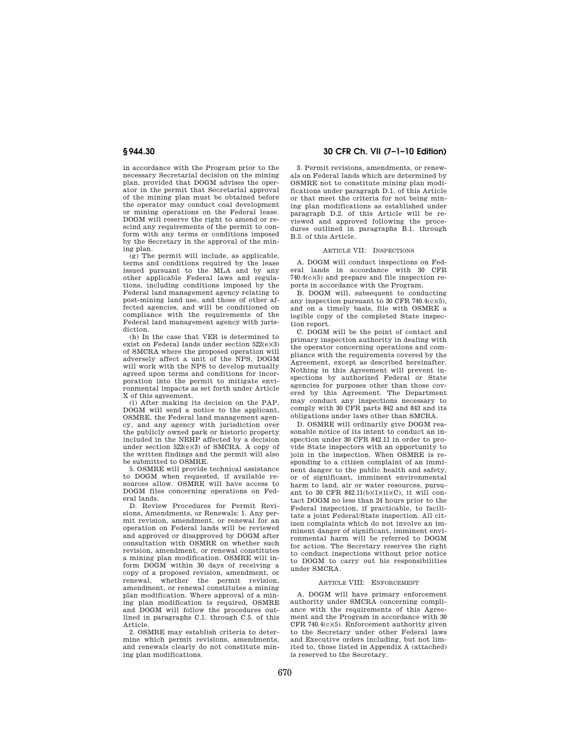in accordance with the Program prior to the necessary Secretarial decision on the mining plan, provided that DOGM advises the operator in the permit that Secretarial approval of the mining plan must be obtained before the operator may conduct coal development or mining operations on the Federal lease. DOGM will reserve the right to amend or rescind any requirements of the permit to conform with any terms or conditions imposed by the Secretary in the approval of the mining plan.

 $(g)$  The permit will include, as applicable, terms and conditions required by the lease issued pursuant to the MLA and by any other applicable Federal laws and regulations, including conditions imposed by the Federal land management agency relating to post-mining land use, and those of other affected agencies, and will be conditioned on compliance with the requirements of the Federal land management agency with jurisdiction.

(h) In the case that VER is determined to exist on Federal lands under section 522(e)(3) of SMCRA where the proposed operation will adversely affect a unit of the NPS, DOGM will work with the NPS to develop mutually agreed upon terms and conditions for incorporation into the permit to mitigate environmental impacts as set forth under Article X of this agreement.

(i) After making its decision on the PAP, DOGM will send a notice to the applicant, OSMRE, the Federal land management agency, and any agency with jurisdiction over the publicly owned park or historic property included in the NRHP affected by a decision under section  $522(e)(3)$  of SMCRA. A copy of the written findings and the permit will also be submitted to OSMRE.

5. OSMRE will provide technical assistance to DOGM when requested, if available resources allow. OSMRE will have access to DOGM files concerning operations on Federal lands.

D. Review Procedures for Permit Revisions, Amendments, or Renewals: 1. Any permit revision, amendment, or renewal for an operation on Federal lands will be reviewed and approved or disapproved by DOGM after consultation with OSMRE on whether such revision, amendment, or renewal constitutes a mining plan modification. OSMRE will inform DOGM within 30 days of receiving a copy of a proposed revision, amendment, or renewal, whether the permit revision, amendment, or renewal constitutes a mining plan modification. Where approval of a mining plan modification is required, OSMRE and DOGM will follow the procedures outlined in paragraphs C.1. through C.5. of this Article.

2. OSMRE may establish criteria to determine which permit revisions, amendments, and renewals clearly do not constitute mining plan modifications.

**§ 944.30 30 CFR Ch. VII (7–1–10 Edition)** 

3. Permit revisions, amendments, or renewals on Federal lands which are determined by OSMRE not to constitute mining plan modifications under paragraph D.1. of this Article or that meet the criteria for not being mining plan modifications as established under paragraph D.2. of this Article will be reviewed and approved following the procedures outlined in paragraphs B.1. through B.5. of this Article.

## ARTICLE VII: INSPECTIONS

A. DOGM will conduct inspections on Federal lands in accordance with 30 CFR 740.4(c)(5) and prepare and file inspection reports in accordance with the Program.

B. DOGM will, subsequent to conducting any inspection pursuant to 30 CFR 740.4(c)(5), and on a timely basis, file with OSMRE a legible copy of the completed State inspection report.

C. DOGM will be the point of contact and primary inspection authority in dealing with the operator concerning operations and compliance with the requirements covered by the Agreement, except as described hereinafter. Nothing in this Agreement will prevent inspections by authorized Federal or State agencies for purposes other than those covered by this Agreement. The Department may conduct any inspections necessary to comply with 30 CFR parts 842 and 843 and its obligations under laws other than SMCRA.

D. OSMRE will ordinarily give DOGM reasonable notice of its intent to conduct an inspection under 30 CFR 842.11 in order to provide State inspectors with an opportunity to join in the inspection. When OSMRE is responding to a citizen complaint of an imminent danger to the public health and safety, or of significant, imminent environmental harm to land, air or water resources, pursuant to 30 CFR  $842.11(b)(1)(ii)(C)$ , it will contact DOGM no less than 24 hours prior to the Federal inspection, if practicable, to facilitate a joint Federal/State inspection. All citizen complaints which do not involve an imminent danger of significant, imminent environmental harm will be referred to DOGM for action. The Secretary reserves the right to conduct inspections without prior notice to DOGM to carry out his responsibilities under SMCRA.

## ARTICLE VIII: ENFORCEMENT

A. DOGM will have primary enforcement authority under SMCRA concerning compliance with the requirements of this Agreement and the Program in accordance with 30 CFR 740.4(c)(5). Enforcement authority given to the Secretary under other Federal laws and Executive orders including, but not limited to, those listed in Appendix A (attached) is reserved to the Secretary.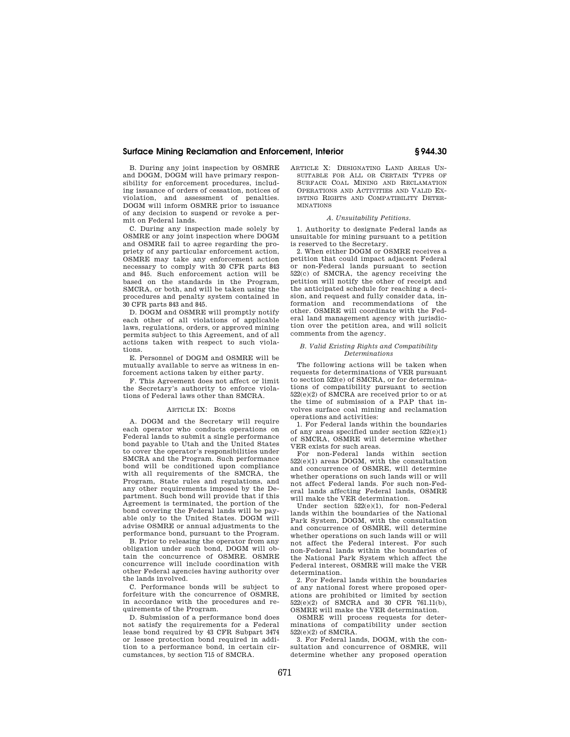## **Surface Mining Reclamation and Enforcement, Interior § 944.30**

B. During any joint inspection by OSMRE and DOGM, DOGM will have primary responsibility for enforcement procedures, including issuance of orders of cessation, notices of violation, and assessment of penalties. DOGM will inform OSMRE prior to issuance of any decision to suspend or revoke a permit on Federal lands.

C. During any inspection made solely by OSMRE or any joint inspection where DOGM and OSMRE fail to agree regarding the propriety of any particular enforcement action, OSMRE may take any enforcement action necessary to comply with 30 CFR parts 843 and 845. Such enforcement action will be based on the standards in the Program, SMCRA, or both, and will be taken using the procedures and penalty system contained in 30 CFR parts 843 and 845.

D. DOGM and OSMRE will promptly notify each other of all violations of applicable laws, regulations, orders, or approved mining permits subject to this Agreement, and of all actions taken with respect to such violations.

E. Personnel of DOGM and OSMRE will be mutually available to serve as witness in enforcement actions taken by either party.

F. This Agreement does not affect or limit the Secretary's authority to enforce violations of Federal laws other than SMCRA.

#### ARTICLE IX: BONDS

A. DOGM and the Secretary will require each operator who conducts operations on Federal lands to submit a single performance bond payable to Utah and the United States to cover the operator's responsibilities under SMCRA and the Program. Such performance bond will be conditioned upon compliance with all requirements of the SMCRA, the Program, State rules and regulations, and any other requirements imposed by the Department. Such bond will provide that if this Agreement is terminated, the portion of the bond covering the Federal lands will be payable only to the United States. DOGM will advise OSMRE or annual adjustments to the performance bond, pursuant to the Program.

B. Prior to releasing the operator from any obligation under such bond, DOGM will obtain the concurrence of OSMRE. OSMRE concurrence will include coordination with other Federal agencies having authority over the lands involved.

C. Performance bonds will be subject to forfeiture with the concurrence of OSMRE, in accordance with the procedures and requirements of the Program.

D. Submission of a performance bond does not satisfy the requirements for a Federal lease bond required by 43 CFR Subpart 3474 or lessee protection bond required in addition to a performance bond, in certain circumstances, by section 715 of SMCRA.

ARTICLE X: DESIGNATING LAND AREAS UN-SUITABLE FOR ALL OR CERTAIN TYPES OF SURFACE COAL MINING AND RECLAMATION OPERATIONS AND ACTIVITIES AND VALID EX-ISTING RIGHTS AND COMPATIBILITY DETER-**MINATIONS** 

#### *A. Unsuitability Petitions.*

1. Authority to designate Federal lands as unsuitable for mining pursuant to a petition is reserved to the Secretary.

2. When either DOGM or OSMRE receives a petition that could impact adjacent Federal or non-Federal lands pursuant to section 522(c) of SMCRA, the agency receiving the petition will notify the other of receipt and the anticipated schedule for reaching a decision, and request and fully consider data, information and recommendations of the other. OSMRE will coordinate with the Federal land management agency with jurisdiction over the petition area, and will solicit comments from the agency.

#### *B. Valid Existing Rights and Compatibility Determinations*

The following actions will be taken when requests for determinations of VER pursuant to section 522(e) of SMCRA, or for determinations of compatibility pursuant to section  $522(e)(2)$  of SMCRA are received prior to or at the time of submission of a PAP that involves surface coal mining and reclamation operations and activities:

1. For Federal lands within the boundaries of any areas specified under section  $522(e)(1)$ of SMCRA, OSMRE will determine whether VER exists for such areas.

For non-Federal lands within section 522(e)(1) areas DOGM, with the consultation and concurrence of OSMRE, will determine whether operations on such lands will or will not affect Federal lands. For such non-Federal lands affecting Federal lands, OSMRE will make the VER determination.

Under section 522(e)(1), for non-Federal lands within the boundaries of the National Park System, DOGM, with the consultation and concurrence of OSMRE, will determine whether operations on such lands will or will not affect the Federal interest. For such non-Federal lands within the boundaries of the National Park System which affect the Federal interest, OSMRE will make the VER determination.

2. For Federal lands within the boundaries of any national forest where proposed operations are prohibited or limited by section 522(e)(2) of SMCRA and 30 CFR 761.11(b), OSMRE will make the VER determination.

OSMRE will process requests for determinations of compatibility under section 522(e)(2) of SMCRA.

3. For Federal lands, DOGM, with the consultation and concurrence of OSMRE, will determine whether any proposed operation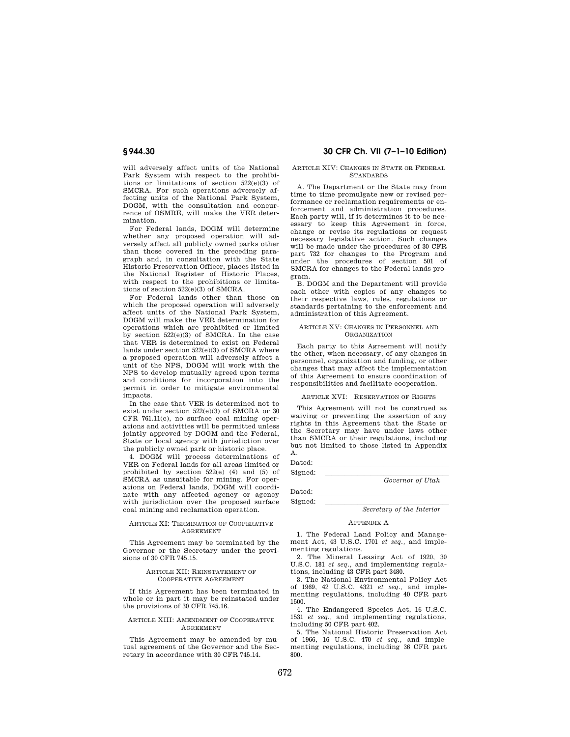will adversely affect units of the National Park System with respect to the prohibitions or limitations of section 522(e)(3) of SMCRA. For such operations adversely affecting units of the National Park System, DOGM, with the consultation and concurrence of OSMRE, will make the VER determination.

For Federal lands, DOGM will determine whether any proposed operation will adversely affect all publicly owned parks other than those covered in the preceding paragraph and, in consultation with the State Historic Preservation Officer, places listed in the National Register of Historic Places, with respect to the prohibitions or limitations of section 522(e)(3) of SMCRA.

For Federal lands other than those on which the proposed operation will adversely affect units of the National Park System, DOGM will make the VER determination for operations which are prohibited or limited by section 522(e)(3) of SMCRA. In the case that VER is determined to exist on Federal lands under section 522(e)(3) of SMCRA where a proposed operation will adversely affect a unit of the NPS, DOGM will work with the NPS to develop mutually agreed upon terms and conditions for incorporation into the permit in order to mitigate environmental impacts.

In the case that VER is determined not to exist under section 522(e)(3) of SMCRA or 30 CFR 761.11(c), no surface coal mining operations and activities will be permitted unless jointly approved by DOGM and the Federal, State or local agency with jurisdiction over the publicly owned park or historic place.

4. DOGM will process determinations of VER on Federal lands for all areas limited or prohibited by section 522(e) (4) and (5) of SMCRA as unsuitable for mining. For operations on Federal lands, DOGM will coordinate with any affected agency or agency with jurisdiction over the proposed surface coal mining and reclamation operation.

## ARTICLE XI: TERMINATION OF COOPERATIVE AGREEMENT

This Agreement may be terminated by the Governor or the Secretary under the provisions of 30 CFR 745.15.

## ARTICLE XII: REINSTATEMENT OF COOPERATIVE AGREEMENT

If this Agreement has been terminated in whole or in part it may be reinstated under the provisions of 30 CFR 745.16.

#### ARTICLE XIII: AMENDMENT OF COOPERATIVE AGREEMENT

This Agreement may be amended by mutual agreement of the Governor and the Secretary in accordance with 30 CFR 745.14.

# **§ 944.30 30 CFR Ch. VII (7–1–10 Edition)**

#### ARTICLE XIV: CHANGES IN STATE OR FEDERAL STANDARDS

A. The Department or the State may from time to time promulgate new or revised performance or reclamation requirements or enforcement and administration procedures. Each party will, if it determines it to be necessary to keep this Agreement in force, change or revise its regulations or request necessary legislative action. Such changes will be made under the procedures of 30 CFR part 732 for changes to the Program and under the procedures of section 501 of SMCRA for changes to the Federal lands program.

B. DOGM and the Department will provide each other with copies of any changes to their respective laws, rules, regulations or standards pertaining to the enforcement and administration of this Agreement.

#### ARTICLE XV: CHANGES IN PERSONNEL AND **ORGANIZATION**

Each party to this Agreement will notify the other, when necessary, of any changes in personnel, organization and funding, or other changes that may affect the implementation of this Agreement to ensure coordination of responsibilities and facilitate cooperation.

#### ARTICLE XVI: RESERVATION OF RIGHTS

This Agreement will not be construed as waiving or preventing the assertion of any rights in this Agreement that the State or the Secretary may have under laws other than SMCRA or their regulations, including but not limited to those listed in Appendix A.

 $\frac{(\mathbf{L}_1 \cdot \mathbf{L}_2 \cdot \mathbf{L}_3 \cdot \mathbf{L}_4 \cdot \mathbf{L}_5)}{(\mathbf{L}_1 \cdot \mathbf{L}_2 \cdot \mathbf{L}_3 \cdot \mathbf{L}_4 \cdot \mathbf{L}_5 \cdot \mathbf{L}_6 \cdot \mathbf{L}_7)}$ 

Signed: <u>covernor of Utah</u> *Governor of Utah* 

 $\frac{(\mathbf{L}_1 \cdot \mathbf{L}_2 \cdot \mathbf{L}_3 \cdot \mathbf{L}_4 \cdot \mathbf{L}_5)}{(\mathbf{L}_1 \cdot \mathbf{L}_2 \cdot \mathbf{L}_3 \cdot \mathbf{L}_4 \cdot \mathbf{L}_5 \cdot \mathbf{L}_6 \cdot \mathbf{L}_7)}$ 

Signed: <u>Secretary of the Interior</u>

#### APPENDIX A

1. The Federal Land Policy and Management Act, 43 U.S.C. 1701 *et seq.,* and implementing regulations.

2. The Mineral Leasing Act of 1920, 30 U.S.C. 181 *et seq.,* and implementing regulations, including 43 CFR part 3480.

3. The National Environmental Policy Act of 1969, 42 U.S.C. 4321 *et seq.,* and imple-menting regulations, including 40 CFR part 1500.

4. The Endangered Species Act, 16 U.S.C. 1531 *et seq.,* and implementing regulations, including 50 CFR part 402.

5. The National Historic Preservation Act of 1966, 16 U.S.C. 470 *et seq.,* and implementing regulations, including 36 CFR part 800.